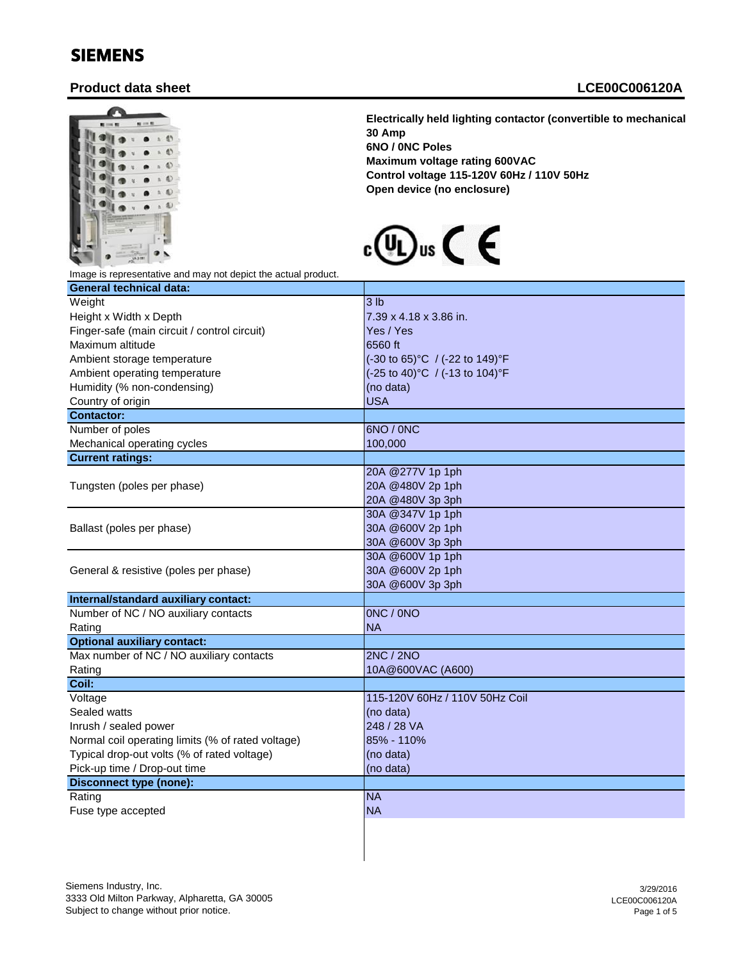## SIEMENS

## **Product data sheet LCE00C006120A**



**Electrically held lighting contactor (convertible to mechanically held) 30 Amp 6NO / 0NC Poles Maximum voltage rating 600VAC Control voltage 115-120V 60Hz / 110V 50Hz Open device (no enclosure)**



Image is representative and may not depict the actual product.

| <b>General technical data:</b>                    |                                  |
|---------------------------------------------------|----------------------------------|
| Weight                                            | 3 <sub>lb</sub>                  |
| Height x Width x Depth                            | 7.39 x 4.18 x 3.86 in.           |
| Finger-safe (main circuit / control circuit)      | Yes / Yes                        |
| Maximum altitude                                  | 6560 ft                          |
| Ambient storage temperature                       | (-30 to 65)°C / (-22 to 149)°F   |
| Ambient operating temperature                     | (-25 to 40) °C / (-13 to 104) °F |
| Humidity (% non-condensing)                       | (no data)                        |
| Country of origin                                 | <b>USA</b>                       |
| <b>Contactor:</b>                                 |                                  |
| Number of poles                                   | 6NO / 0NC                        |
| Mechanical operating cycles                       | 100,000                          |
| <b>Current ratings:</b>                           |                                  |
|                                                   | 20A @277V 1p 1ph                 |
| Tungsten (poles per phase)                        | 20A @480V 2p 1ph                 |
|                                                   | 20A @480V 3p 3ph                 |
|                                                   | 30A @347V 1p 1ph                 |
| Ballast (poles per phase)                         | 30A @600V 2p 1ph                 |
|                                                   | 30A @600V 3p 3ph                 |
|                                                   | 30A @600V 1p 1ph                 |
| General & resistive (poles per phase)             | 30A @600V 2p 1ph                 |
|                                                   | 30A @600V 3p 3ph                 |
| Internal/standard auxiliary contact:              |                                  |
| Number of NC / NO auxiliary contacts              | ONC / ONO                        |
| Rating                                            | <b>NA</b>                        |
| <b>Optional auxiliary contact:</b>                |                                  |
| Max number of NC / NO auxiliary contacts          | <b>2NC / 2NO</b>                 |
| Rating                                            | 10A@600VAC (A600)                |
| Coil:                                             |                                  |
| Voltage                                           | 115-120V 60Hz / 110V 50Hz Coil   |
| Sealed watts                                      | (no data)                        |
| Inrush / sealed power                             | 248 / 28 VA                      |
| Normal coil operating limits (% of rated voltage) | 85% - 110%                       |
| Typical drop-out volts (% of rated voltage)       | (no data)                        |
| Pick-up time / Drop-out time                      | (no data)                        |
| <b>Disconnect type (none):</b>                    |                                  |
| Rating                                            | <b>NA</b>                        |
| Fuse type accepted                                | <b>NA</b>                        |
|                                                   |                                  |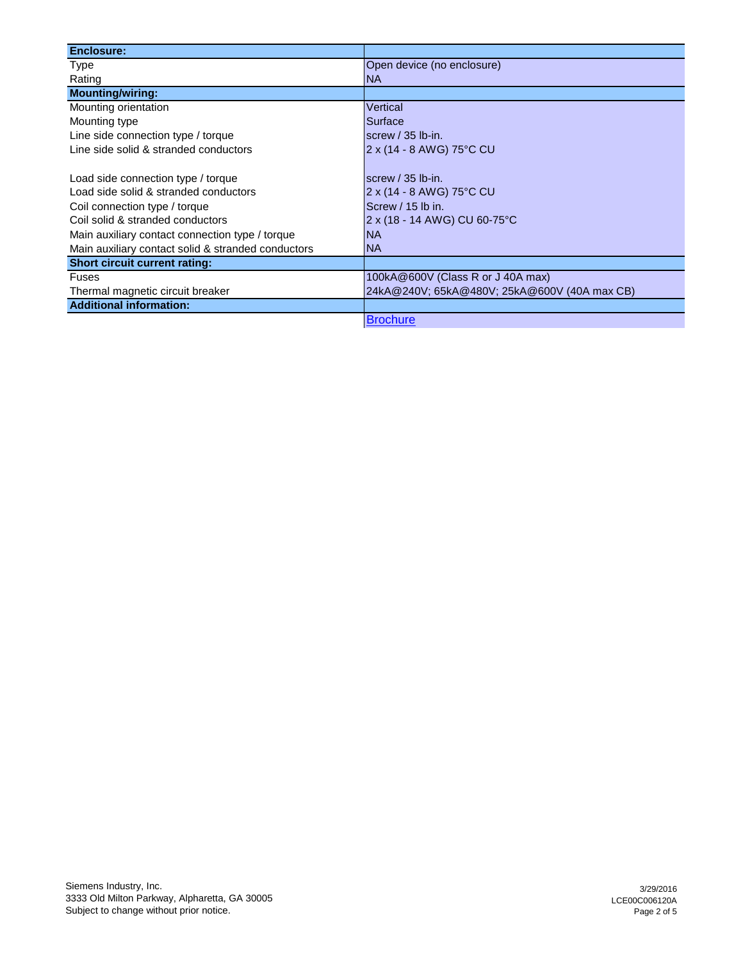| <b>Enclosure:</b>                                  |                                              |
|----------------------------------------------------|----------------------------------------------|
| Type                                               | Open device (no enclosure)                   |
| Rating                                             | <b>NA</b>                                    |
| <b>Mounting/wiring:</b>                            |                                              |
| Mounting orientation                               | Vertical                                     |
| Mounting type                                      | Surface                                      |
| Line side connection type / torque                 | screw $/$ 35 lb-in.                          |
| Line side solid & stranded conductors              | 2 x (14 - 8 AWG) 75°C CU                     |
|                                                    |                                              |
| Load side connection type / torque                 | screw $/$ 35 lb-in.                          |
| Load side solid & stranded conductors              | 2 x (14 - 8 AWG) 75°C CU                     |
| Coil connection type / torque                      | Screw / 15 lb in.                            |
| Coil solid & stranded conductors                   | 2 x (18 - 14 AWG) CU 60-75°C                 |
| Main auxiliary contact connection type / torque    | <b>NA</b>                                    |
| Main auxiliary contact solid & stranded conductors | <b>NA</b>                                    |
| <b>Short circuit current rating:</b>               |                                              |
| <b>Fuses</b>                                       | 100kA@600V (Class R or J 40A max)            |
| Thermal magnetic circuit breaker                   | 24kA@240V; 65kA@480V; 25kA@600V (40A max CB) |
| <b>Additional information:</b>                     |                                              |
|                                                    | <b>Brochure</b>                              |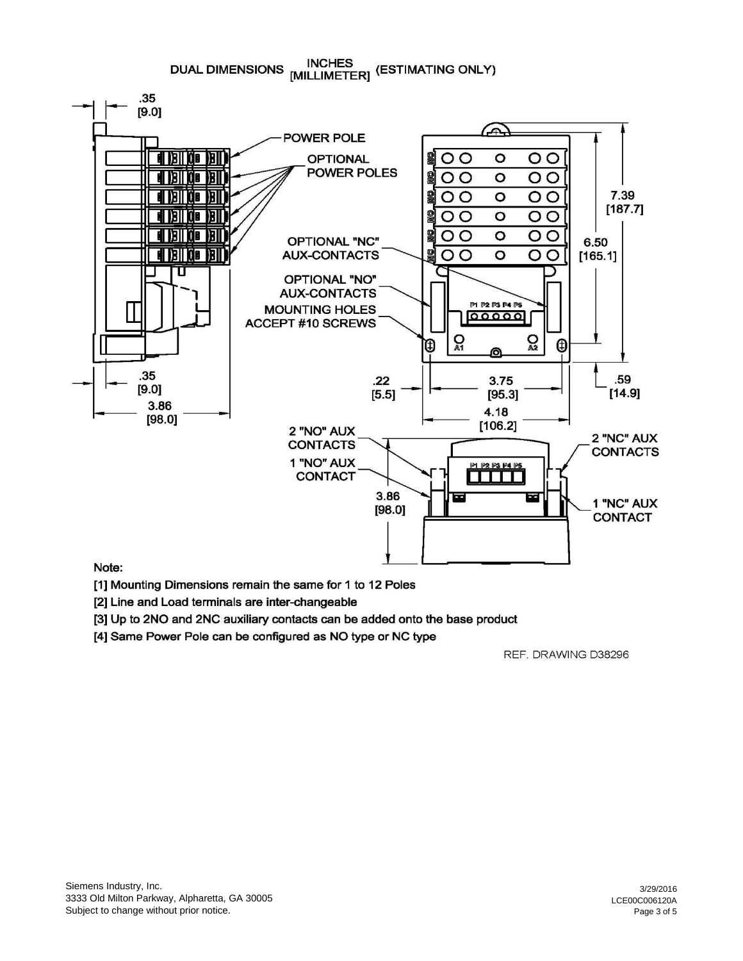**INCHES** DUAL DIMENSIONS MILLIMETER] (ESTIMATING ONLY)



## Note:

[1] Mounting Dimensions remain the same for 1 to 12 Poles

[2] Line and Load terminals are inter-changeable

[3] Up to 2NO and 2NC auxiliary contacts can be added onto the base product

[4] Same Power Pole can be configured as NO type or NC type

REF. DRAWING D38296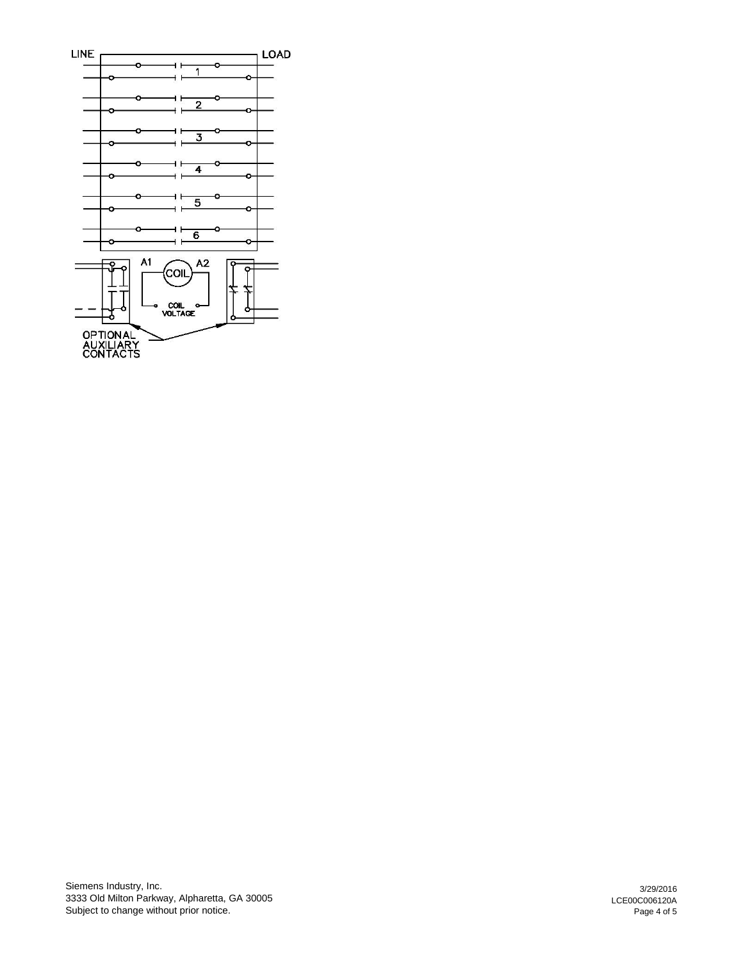